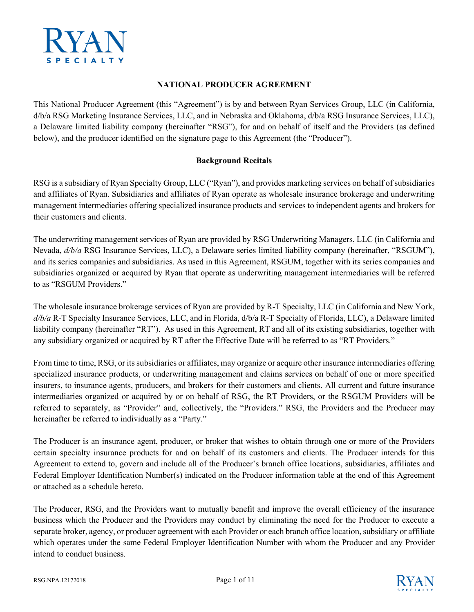

#### **NATIONAL PRODUCER AGREEMENT**

This National Producer Agreement (this "Agreement") is by and between Ryan Services Group, LLC (in California, d/b/a RSG Marketing Insurance Services, LLC, and in Nebraska and Oklahoma, d/b/a RSG Insurance Services, LLC), a Delaware limited liability company (hereinafter "RSG"), for and on behalf of itself and the Providers (as defined below), and the producer identified on the signature page to this Agreement (the "Producer").

#### **Background Recitals**

RSG is a subsidiary of Ryan Specialty Group, LLC ("Ryan"), and provides marketing services on behalf of subsidiaries and affiliates of Ryan. Subsidiaries and affiliates of Ryan operate as wholesale insurance brokerage and underwriting management intermediaries offering specialized insurance products and services to independent agents and brokers for their customers and clients.

The underwriting management services of Ryan are provided by RSG Underwriting Managers, LLC (in California and Nevada, *d/b/a* RSG Insurance Services, LLC), a Delaware series limited liability company (hereinafter, "RSGUM"), and its series companies and subsidiaries. As used in this Agreement, RSGUM, together with its series companies and subsidiaries organized or acquired by Ryan that operate as underwriting management intermediaries will be referred to as "RSGUM Providers."

The wholesale insurance brokerage services of Ryan are provided by R-T Specialty, LLC (in California and New York, *d/b/a* R-T Specialty Insurance Services, LLC, and in Florida, d/b/a R-T Specialty of Florida, LLC), a Delaware limited liability company (hereinafter "RT"). As used in this Agreement, RT and all of its existing subsidiaries, together with any subsidiary organized or acquired by RT after the Effective Date will be referred to as "RT Providers."

From time to time, RSG, or its subsidiaries or affiliates, may organize or acquire other insurance intermediaries offering specialized insurance products, or underwriting management and claims services on behalf of one or more specified insurers, to insurance agents, producers, and brokers for their customers and clients. All current and future insurance intermediaries organized or acquired by or on behalf of RSG, the RT Providers, or the RSGUM Providers will be referred to separately, as "Provider" and, collectively, the "Providers." RSG, the Providers and the Producer may hereinafter be referred to individually as a "Party."

The Producer is an insurance agent, producer, or broker that wishes to obtain through one or more of the Providers certain specialty insurance products for and on behalf of its customers and clients. The Producer intends for this Agreement to extend to, govern and include all of the Producer's branch office locations, subsidiaries, affiliates and Federal Employer Identification Number(s) indicated on the Producer information table at the end of this Agreement or attached as a schedule hereto.

The Producer, RSG, and the Providers want to mutually benefit and improve the overall efficiency of the insurance business which the Producer and the Providers may conduct by eliminating the need for the Producer to execute a separate broker, agency, or producer agreement with each Provider or each branch office location, subsidiary or affiliate which operates under the same Federal Employer Identification Number with whom the Producer and any Provider intend to conduct business.

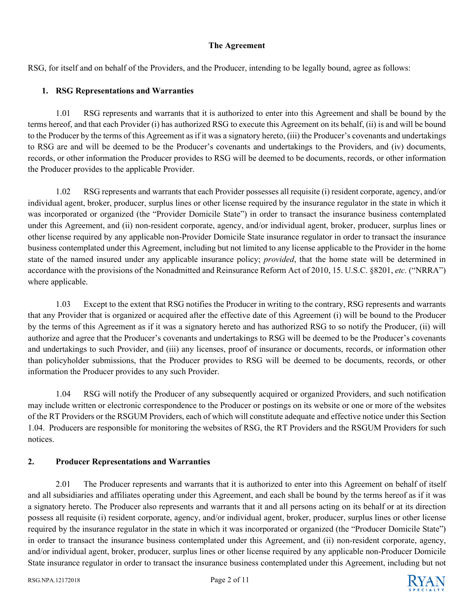#### **The Agreement**

RSG, for itself and on behalf of the Providers, and the Producer, intending to be legally bound, agree as follows:

## **1. RSG Representations and Warranties**

1.01 RSG represents and warrants that it is authorized to enter into this Agreement and shall be bound by the terms hereof, and that each Provider (i) has authorized RSG to execute this Agreement on its behalf, (ii) is and will be bound to the Producer by the terms of this Agreement as if it was a signatory hereto, (iii) the Producer's covenants and undertakings to RSG are and will be deemed to be the Producer's covenants and undertakings to the Providers, and (iv) documents, records, or other information the Producer provides to RSG will be deemed to be documents, records, or other information the Producer provides to the applicable Provider.

1.02 RSG represents and warrants that each Provider possesses all requisite (i) resident corporate, agency, and/or individual agent, broker, producer, surplus lines or other license required by the insurance regulator in the state in which it was incorporated or organized (the "Provider Domicile State") in order to transact the insurance business contemplated under this Agreement, and (ii) non-resident corporate, agency, and/or individual agent, broker, producer, surplus lines or other license required by any applicable non-Provider Domicile State insurance regulator in order to transact the insurance business contemplated under this Agreement, including but not limited to any license applicable to the Provider in the home state of the named insured under any applicable insurance policy; *provided*, that the home state will be determined in accordance with the provisions of the Nonadmitted and Reinsurance Reform Act of 2010, 15. U.S.C. §8201, *etc.* ("NRRA") where applicable.

1.03 Except to the extent that RSG notifies the Producer in writing to the contrary, RSG represents and warrants that any Provider that is organized or acquired after the effective date of this Agreement (i) will be bound to the Producer by the terms of this Agreement as if it was a signatory hereto and has authorized RSG to so notify the Producer, (ii) will authorize and agree that the Producer's covenants and undertakings to RSG will be deemed to be the Producer's covenants and undertakings to such Provider, and (iii) any licenses, proof of insurance or documents, records, or information other than policyholder submissions, that the Producer provides to RSG will be deemed to be documents, records, or other information the Producer provides to any such Provider.

1.04 RSG will notify the Producer of any subsequently acquired or organized Providers, and such notification may include written or electronic correspondence to the Producer or postings on its website or one or more of the websites of the RT Providers or the RSGUM Providers, each of which will constitute adequate and effective notice under this Section 1.04. Producers are responsible for monitoring the websites of RSG, the RT Providers and the RSGUM Providers for such notices.

## **2. Producer Representations and Warranties**

2.01 The Producer represents and warrants that it is authorized to enter into this Agreement on behalf of itself and all subsidiaries and affiliates operating under this Agreement, and each shall be bound by the terms hereof as if it was a signatory hereto. The Producer also represents and warrants that it and all persons acting on its behalf or at its direction possess all requisite (i) resident corporate, agency, and/or individual agent, broker, producer, surplus lines or other license required by the insurance regulator in the state in which it was incorporated or organized (the "Producer Domicile State") in order to transact the insurance business contemplated under this Agreement, and (ii) non-resident corporate, agency, and/or individual agent, broker, producer, surplus lines or other license required by any applicable non-Producer Domicile State insurance regulator in order to transact the insurance business contemplated under this Agreement, including but not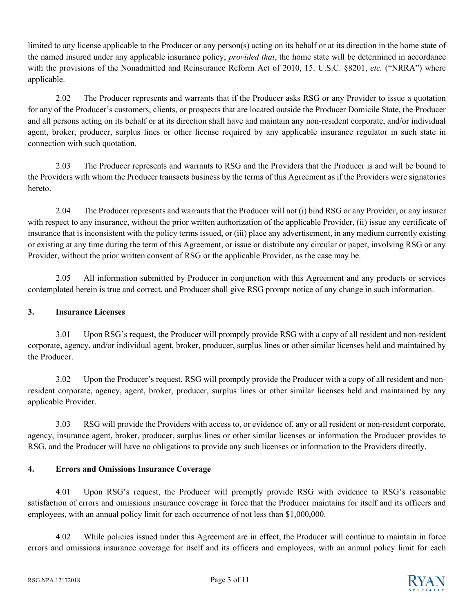limited to any license applicable to the Producer or any person(s) acting on its behalf or at its direction in the home state of the named insured under any applicable insurance policy; *provided that*, the home state will be determined in accordance with the provisions of the Nonadmitted and Reinsurance Reform Act of 2010, 15. U.S.C. §8201, *etc.* ("NRRA") where applicable.

2.02 The Producer represents and warrants that if the Producer asks RSG or any Provider to issue a quotation for any of the Producer's customers, clients, or prospects that are located outside the Producer Domicile State, the Producer and all persons acting on its behalf or at its direction shall have and maintain any non-resident corporate, and/or individual agent, broker, producer, surplus lines or other license required by any applicable insurance regulator in such state in connection with such quotation.

2.03 The Producer represents and warrants to RSG and the Providers that the Producer is and will be bound to the Providers with whom the Producer transacts business by the terms of this Agreement as if the Providers were signatories hereto.

2.04 The Producer represents and warrants that the Producer will not (i) bind RSG or any Provider, or any insurer with respect to any insurance, without the prior written authorization of the applicable Provider, (ii) issue any certificate of insurance that is inconsistent with the policy terms issued, or (iii) place any advertisement, in any medium currently existing or existing at any time during the term of this Agreement, or issue or distribute any circular or paper, involving RSG or any Provider, without the prior written consent of RSG or the applicable Provider, as the case may be.

2.05 All information submitted by Producer in conjunction with this Agreement and any products or services contemplated herein is true and correct, and Producer shall give RSG prompt notice of any change in such information.

# **3. Insurance Licenses**

3.01 Upon RSG's request, the Producer will promptly provide RSG with a copy of all resident and non-resident corporate, agency, and/or individual agent, broker, producer, surplus lines or other similar licenses held and maintained by the Producer.

3.02 Upon the Producer's request, RSG will promptly provide the Producer with a copy of all resident and nonresident corporate, agency, agent, broker, producer, surplus lines or other similar licenses held and maintained by any applicable Provider.

3.03 RSG will provide the Providers with access to, or evidence of, any or all resident or non-resident corporate, agency, insurance agent, broker, producer, surplus lines or other similar licenses or information the Producer provides to RSG, and the Producer will have no obligations to provide any such licenses or information to the Providers directly.

# **4. Errors and Omissions Insurance Coverage**

4.01 Upon RSG's request, the Producer will promptly provide RSG with evidence to RSG's reasonable satisfaction of errors and omissions insurance coverage in force that the Producer maintains for itself and its officers and employees, with an annual policy limit for each occurrence of not less than \$1,000,000.

4.02 While policies issued under this Agreement are in effect, the Producer will continue to maintain in force errors and omissions insurance coverage for itself and its officers and employees, with an annual policy limit for each

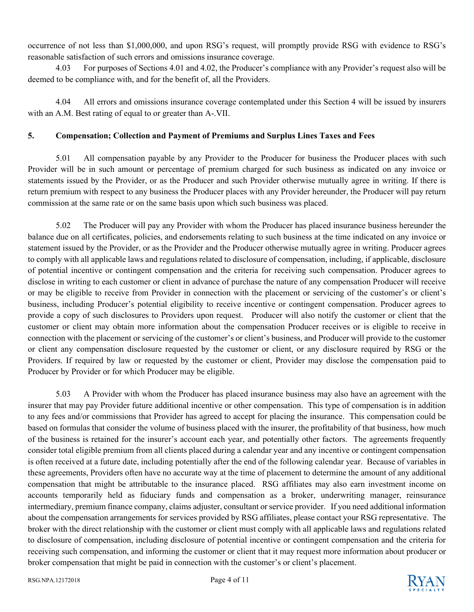occurrence of not less than \$1,000,000, and upon RSG's request, will promptly provide RSG with evidence to RSG's reasonable satisfaction of such errors and omissions insurance coverage.

4.03 For purposes of Sections 4.01 and 4.02, the Producer's compliance with any Provider's request also will be deemed to be compliance with, and for the benefit of, all the Providers.

4.04 All errors and omissions insurance coverage contemplated under this Section 4 will be issued by insurers with an A.M. Best rating of equal to or greater than A-.VII.

## **5. Compensation; Collection and Payment of Premiums and Surplus Lines Taxes and Fees**

5.01 All compensation payable by any Provider to the Producer for business the Producer places with such Provider will be in such amount or percentage of premium charged for such business as indicated on any invoice or statements issued by the Provider, or as the Producer and such Provider otherwise mutually agree in writing. If there is return premium with respect to any business the Producer places with any Provider hereunder, the Producer will pay return commission at the same rate or on the same basis upon which such business was placed.

5.02 The Producer will pay any Provider with whom the Producer has placed insurance business hereunder the balance due on all certificates, policies, and endorsements relating to such business at the time indicated on any invoice or statement issued by the Provider, or as the Provider and the Producer otherwise mutually agree in writing. Producer agrees to comply with all applicable laws and regulations related to disclosure of compensation, including, if applicable, disclosure of potential incentive or contingent compensation and the criteria for receiving such compensation. Producer agrees to disclose in writing to each customer or client in advance of purchase the nature of any compensation Producer will receive or may be eligible to receive from Provider in connection with the placement or servicing of the customer's or client's business, including Producer's potential eligibility to receive incentive or contingent compensation. Producer agrees to provide a copy of such disclosures to Providers upon request. Producer will also notify the customer or client that the customer or client may obtain more information about the compensation Producer receives or is eligible to receive in connection with the placement or servicing of the customer's or client's business, and Producer will provide to the customer or client any compensation disclosure requested by the customer or client, or any disclosure required by RSG or the Providers. If required by law or requested by the customer or client, Provider may disclose the compensation paid to Producer by Provider or for which Producer may be eligible.

5.03 A Provider with whom the Producer has placed insurance business may also have an agreement with the insurer that may pay Provider future additional incentive or other compensation. This type of compensation is in addition to any fees and/or commissions that Provider has agreed to accept for placing the insurance. This compensation could be based on formulas that consider the volume of business placed with the insurer, the profitability of that business, how much of the business is retained for the insurer's account each year, and potentially other factors. The agreements frequently consider total eligible premium from all clients placed during a calendar year and any incentive or contingent compensation is often received at a future date, including potentially after the end of the following calendar year. Because of variables in these agreements, Providers often have no accurate way at the time of placement to determine the amount of any additional compensation that might be attributable to the insurance placed. RSG affiliates may also earn investment income on accounts temporarily held as fiduciary funds and compensation as a broker, underwriting manager, reinsurance intermediary, premium finance company, claims adjuster, consultant or service provider. If you need additional information about the compensation arrangements for services provided by RSG affiliates, please contact your RSG representative. The broker with the direct relationship with the customer or client must comply with all applicable laws and regulations related to disclosure of compensation, including disclosure of potential incentive or contingent compensation and the criteria for receiving such compensation, and informing the customer or client that it may request more information about producer or broker compensation that might be paid in connection with the customer's or client's placement.

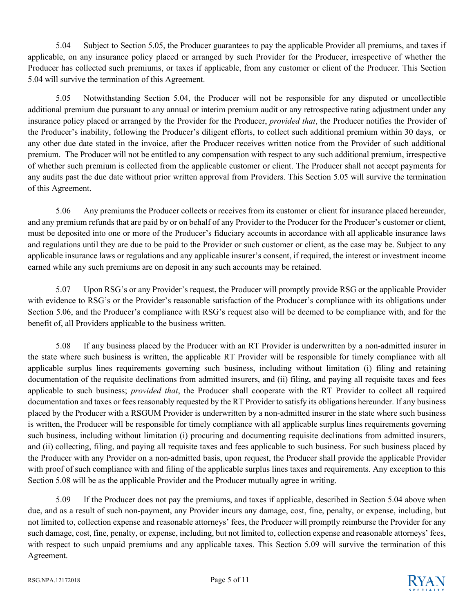5.04 Subject to Section 5.05, the Producer guarantees to pay the applicable Provider all premiums, and taxes if applicable, on any insurance policy placed or arranged by such Provider for the Producer, irrespective of whether the Producer has collected such premiums, or taxes if applicable, from any customer or client of the Producer. This Section 5.04 will survive the termination of this Agreement.

5.05 Notwithstanding Section 5.04, the Producer will not be responsible for any disputed or uncollectible additional premium due pursuant to any annual or interim premium audit or any retrospective rating adjustment under any insurance policy placed or arranged by the Provider for the Producer, *provided that*, the Producer notifies the Provider of the Producer's inability, following the Producer's diligent efforts, to collect such additional premium within 30 days, or any other due date stated in the invoice, after the Producer receives written notice from the Provider of such additional premium. The Producer will not be entitled to any compensation with respect to any such additional premium, irrespective of whether such premium is collected from the applicable customer or client. The Producer shall not accept payments for any audits past the due date without prior written approval from Providers. This Section 5.05 will survive the termination of this Agreement.

5.06 Any premiums the Producer collects or receives from its customer or client for insurance placed hereunder, and any premium refunds that are paid by or on behalf of any Provider to the Producer for the Producer's customer or client, must be deposited into one or more of the Producer's fiduciary accounts in accordance with all applicable insurance laws and regulations until they are due to be paid to the Provider or such customer or client, as the case may be. Subject to any applicable insurance laws or regulations and any applicable insurer's consent, if required, the interest or investment income earned while any such premiums are on deposit in any such accounts may be retained.

5.07 Upon RSG's or any Provider's request, the Producer will promptly provide RSG or the applicable Provider with evidence to RSG's or the Provider's reasonable satisfaction of the Producer's compliance with its obligations under Section 5.06, and the Producer's compliance with RSG's request also will be deemed to be compliance with, and for the benefit of, all Providers applicable to the business written.

5.08 If any business placed by the Producer with an RT Provider is underwritten by a non-admitted insurer in the state where such business is written, the applicable RT Provider will be responsible for timely compliance with all applicable surplus lines requirements governing such business, including without limitation (i) filing and retaining documentation of the requisite declinations from admitted insurers, and (ii) filing, and paying all requisite taxes and fees applicable to such business; *provided that*, the Producer shall cooperate with the RT Provider to collect all required documentation and taxes or fees reasonably requested by the RT Provider to satisfy its obligations hereunder. If any business placed by the Producer with a RSGUM Provider is underwritten by a non-admitted insurer in the state where such business is written, the Producer will be responsible for timely compliance with all applicable surplus lines requirements governing such business, including without limitation (i) procuring and documenting requisite declinations from admitted insurers, and (ii) collecting, filing, and paying all requisite taxes and fees applicable to such business. For such business placed by the Producer with any Provider on a non-admitted basis, upon request, the Producer shall provide the applicable Provider with proof of such compliance with and filing of the applicable surplus lines taxes and requirements. Any exception to this Section 5.08 will be as the applicable Provider and the Producer mutually agree in writing.

5.09 If the Producer does not pay the premiums, and taxes if applicable, described in Section 5.04 above when due, and as a result of such non-payment, any Provider incurs any damage, cost, fine, penalty, or expense, including, but not limited to, collection expense and reasonable attorneys' fees, the Producer will promptly reimburse the Provider for any such damage, cost, fine, penalty, or expense, including, but not limited to, collection expense and reasonable attorneys' fees, with respect to such unpaid premiums and any applicable taxes. This Section 5.09 will survive the termination of this Agreement.

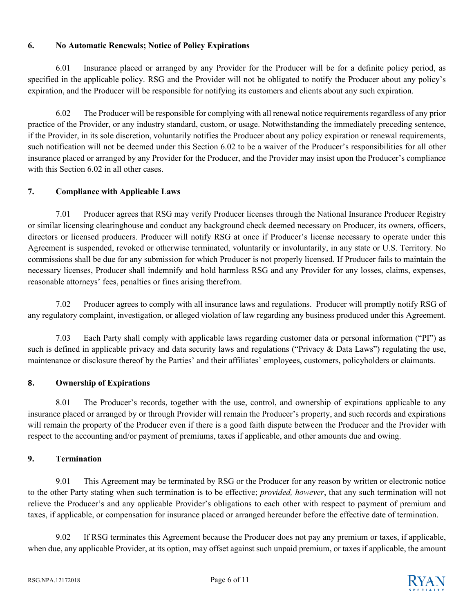## **6. No Automatic Renewals; Notice of Policy Expirations**

6.01 Insurance placed or arranged by any Provider for the Producer will be for a definite policy period, as specified in the applicable policy. RSG and the Provider will not be obligated to notify the Producer about any policy's expiration, and the Producer will be responsible for notifying its customers and clients about any such expiration.

6.02 The Producer will be responsible for complying with all renewal notice requirements regardless of any prior practice of the Provider, or any industry standard, custom, or usage. Notwithstanding the immediately preceding sentence, if the Provider, in its sole discretion, voluntarily notifies the Producer about any policy expiration or renewal requirements, such notification will not be deemed under this Section 6.02 to be a waiver of the Producer's responsibilities for all other insurance placed or arranged by any Provider for the Producer, and the Provider may insist upon the Producer's compliance with this Section 6.02 in all other cases.

# **7. Compliance with Applicable Laws**

7.01 Producer agrees that RSG may verify Producer licenses through the National Insurance Producer Registry or similar licensing clearinghouse and conduct any background check deemed necessary on Producer, its owners, officers, directors or licensed producers. Producer will notify RSG at once if Producer's license necessary to operate under this Agreement is suspended, revoked or otherwise terminated, voluntarily or involuntarily, in any state or U.S. Territory. No commissions shall be due for any submission for which Producer is not properly licensed. If Producer fails to maintain the necessary licenses, Producer shall indemnify and hold harmless RSG and any Provider for any losses, claims, expenses, reasonable attorneys' fees, penalties or fines arising therefrom.

7.02 Producer agrees to comply with all insurance laws and regulations. Producer will promptly notify RSG of any regulatory complaint, investigation, or alleged violation of law regarding any business produced under this Agreement.

7.03 Each Party shall comply with applicable laws regarding customer data or personal information ("PI") as such is defined in applicable privacy and data security laws and regulations ("Privacy & Data Laws") regulating the use, maintenance or disclosure thereof by the Parties' and their affiliates' employees, customers, policyholders or claimants.

# **8. Ownership of Expirations**

8.01 The Producer's records, together with the use, control, and ownership of expirations applicable to any insurance placed or arranged by or through Provider will remain the Producer's property, and such records and expirations will remain the property of the Producer even if there is a good faith dispute between the Producer and the Provider with respect to the accounting and/or payment of premiums, taxes if applicable, and other amounts due and owing.

# **9. Termination**

9.01 This Agreement may be terminated by RSG or the Producer for any reason by written or electronic notice to the other Party stating when such termination is to be effective; *provided, however*, that any such termination will not relieve the Producer's and any applicable Provider's obligations to each other with respect to payment of premium and taxes, if applicable, or compensation for insurance placed or arranged hereunder before the effective date of termination.

9.02 If RSG terminates this Agreement because the Producer does not pay any premium or taxes, if applicable, when due, any applicable Provider, at its option, may offset against such unpaid premium, or taxes if applicable, the amount

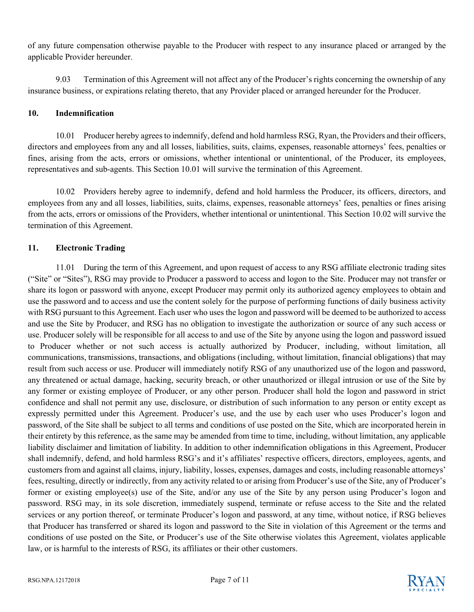of any future compensation otherwise payable to the Producer with respect to any insurance placed or arranged by the applicable Provider hereunder.

9.03 Termination of this Agreement will not affect any of the Producer's rights concerning the ownership of any insurance business, or expirations relating thereto, that any Provider placed or arranged hereunder for the Producer.

#### **10. Indemnification**

10.01 Producer hereby agrees to indemnify, defend and hold harmless RSG, Ryan, the Providers and their officers, directors and employees from any and all losses, liabilities, suits, claims, expenses, reasonable attorneys' fees, penalties or fines, arising from the acts, errors or omissions, whether intentional or unintentional, of the Producer, its employees, representatives and sub-agents. This Section 10.01 will survive the termination of this Agreement.

10.02 Providers hereby agree to indemnify, defend and hold harmless the Producer, its officers, directors, and employees from any and all losses, liabilities, suits, claims, expenses, reasonable attorneys' fees, penalties or fines arising from the acts, errors or omissions of the Providers, whether intentional or unintentional. This Section 10.02 will survive the termination of this Agreement.

## **11. Electronic Trading**

11.01 During the term of this Agreement, and upon request of access to any RSG affiliate electronic trading sites ("Site" or "Sites"), RSG may provide to Producer a password to access and logon to the Site. Producer may not transfer or share its logon or password with anyone, except Producer may permit only its authorized agency employees to obtain and use the password and to access and use the content solely for the purpose of performing functions of daily business activity with RSG pursuant to this Agreement. Each user who uses the logon and password will be deemed to be authorized to access and use the Site by Producer, and RSG has no obligation to investigate the authorization or source of any such access or use. Producer solely will be responsible for all access to and use of the Site by anyone using the logon and password issued to Producer whether or not such access is actually authorized by Producer, including, without limitation, all communications, transmissions, transactions, and obligations (including, without limitation, financial obligations) that may result from such access or use. Producer will immediately notify RSG of any unauthorized use of the logon and password, any threatened or actual damage, hacking, security breach, or other unauthorized or illegal intrusion or use of the Site by any former or existing employee of Producer, or any other person. Producer shall hold the logon and password in strict confidence and shall not permit any use, disclosure, or distribution of such information to any person or entity except as expressly permitted under this Agreement. Producer's use, and the use by each user who uses Producer's logon and password, of the Site shall be subject to all terms and conditions of use posted on the Site, which are incorporated herein in their entirety by this reference, as the same may be amended from time to time, including, without limitation, any applicable liability disclaimer and limitation of liability. In addition to other indemnification obligations in this Agreement, Producer shall indemnify, defend, and hold harmless RSG's and it's affiliates' respective officers, directors, employees, agents, and customers from and against all claims, injury, liability, losses, expenses, damages and costs, including reasonable attorneys' fees, resulting, directly or indirectly, from any activity related to or arising from Producer's use of the Site, any of Producer's former or existing employee(s) use of the Site, and/or any use of the Site by any person using Producer's logon and password. RSG may, in its sole discretion, immediately suspend, terminate or refuse access to the Site and the related services or any portion thereof, or terminate Producer's logon and password, at any time, without notice, if RSG believes that Producer has transferred or shared its logon and password to the Site in violation of this Agreement or the terms and conditions of use posted on the Site, or Producer's use of the Site otherwise violates this Agreement, violates applicable law, or is harmful to the interests of RSG, its affiliates or their other customers.

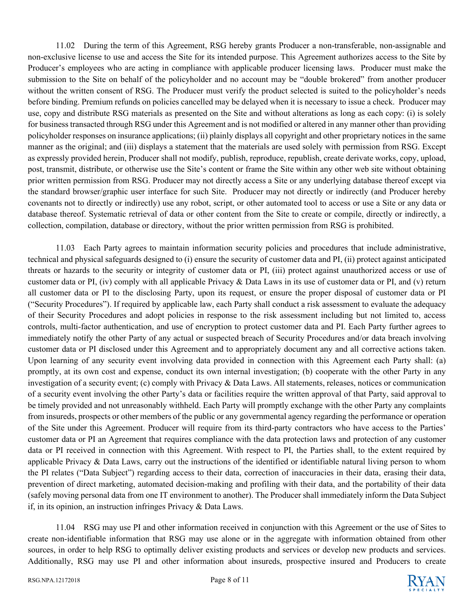11.02 During the term of this Agreement, RSG hereby grants Producer a non-transferable, non-assignable and non-exclusive license to use and access the Site for its intended purpose. This Agreement authorizes access to the Site by Producer's employees who are acting in compliance with applicable producer licensing laws. Producer must make the submission to the Site on behalf of the policyholder and no account may be "double brokered" from another producer without the written consent of RSG. The Producer must verify the product selected is suited to the policyholder's needs before binding. Premium refunds on policies cancelled may be delayed when it is necessary to issue a check. Producer may use, copy and distribute RSG materials as presented on the Site and without alterations as long as each copy: (i) is solely for business transacted through RSG under this Agreement and is not modified or altered in any manner other than providing policyholder responses on insurance applications; (ii) plainly displays all copyright and other proprietary notices in the same manner as the original; and (iii) displays a statement that the materials are used solely with permission from RSG. Except as expressly provided herein, Producer shall not modify, publish, reproduce, republish, create derivate works, copy, upload, post, transmit, distribute, or otherwise use the Site's content or frame the Site within any other web site without obtaining prior written permission from RSG. Producer may not directly access a Site or any underlying database thereof except via the standard browser/graphic user interface for such Site. Producer may not directly or indirectly (and Producer hereby covenants not to directly or indirectly) use any robot, script, or other automated tool to access or use a Site or any data or database thereof. Systematic retrieval of data or other content from the Site to create or compile, directly or indirectly, a collection, compilation, database or directory, without the prior written permission from RSG is prohibited.

11.03 Each Party agrees to maintain information security policies and procedures that include administrative, technical and physical safeguards designed to (i) ensure the security of customer data and PI, (ii) protect against anticipated threats or hazards to the security or integrity of customer data or PI, (iii) protect against unauthorized access or use of customer data or PI, (iv) comply with all applicable Privacy & Data Laws in its use of customer data or PI, and (v) return all customer data or PI to the disclosing Party, upon its request, or ensure the proper disposal of customer data or PI ("Security Procedures"). If required by applicable law, each Party shall conduct a risk assessment to evaluate the adequacy of their Security Procedures and adopt policies in response to the risk assessment including but not limited to, access controls, multi-factor authentication, and use of encryption to protect customer data and PI. Each Party further agrees to immediately notify the other Party of any actual or suspected breach of Security Procedures and/or data breach involving customer data or PI disclosed under this Agreement and to appropriately document any and all corrective actions taken. Upon learning of any security event involving data provided in connection with this Agreement each Party shall: (a) promptly, at its own cost and expense, conduct its own internal investigation; (b) cooperate with the other Party in any investigation of a security event; (c) comply with Privacy & Data Laws. All statements, releases, notices or communication of a security event involving the other Party's data or facilities require the written approval of that Party, said approval to be timely provided and not unreasonably withheld. Each Party will promptly exchange with the other Party any complaints from insureds, prospects or other members of the public or any governmental agency regarding the performance or operation of the Site under this Agreement. Producer will require from its third-party contractors who have access to the Parties' customer data or PI an Agreement that requires compliance with the data protection laws and protection of any customer data or PI received in connection with this Agreement. With respect to PI, the Parties shall, to the extent required by applicable Privacy  $\&$  Data Laws, carry out the instructions of the identified or identifiable natural living person to whom the PI relates ("Data Subject") regarding access to their data, correction of inaccuracies in their data, erasing their data, prevention of direct marketing, automated decision-making and profiling with their data, and the portability of their data (safely moving personal data from one IT environment to another). The Producer shall immediately inform the Data Subject if, in its opinion, an instruction infringes Privacy & Data Laws.

11.04 RSG may use PI and other information received in conjunction with this Agreement or the use of Sites to create non-identifiable information that RSG may use alone or in the aggregate with information obtained from other sources, in order to help RSG to optimally deliver existing products and services or develop new products and services. Additionally, RSG may use PI and other information about insureds, prospective insured and Producers to create

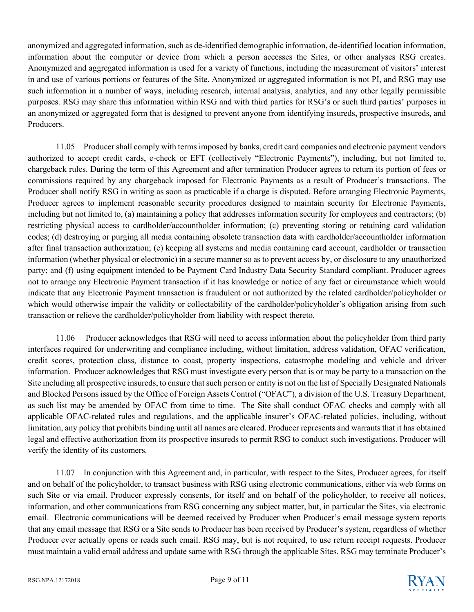anonymized and aggregated information, such as de-identified demographic information, de-identified location information, information about the computer or device from which a person accesses the Sites, or other analyses RSG creates. Anonymized and aggregated information is used for a variety of functions, including the measurement of visitors' interest in and use of various portions or features of the Site. Anonymized or aggregated information is not PI, and RSG may use such information in a number of ways, including research, internal analysis, analytics, and any other legally permissible purposes. RSG may share this information within RSG and with third parties for RSG's or such third parties' purposes in an anonymized or aggregated form that is designed to prevent anyone from identifying insureds, prospective insureds, and Producers.

11.05 Producer shall comply with terms imposed by banks, credit card companies and electronic payment vendors authorized to accept credit cards, e-check or EFT (collectively "Electronic Payments"), including, but not limited to, chargeback rules. During the term of this Agreement and after termination Producer agrees to return its portion of fees or commissions required by any chargeback imposed for Electronic Payments as a result of Producer's transactions. The Producer shall notify RSG in writing as soon as practicable if a charge is disputed. Before arranging Electronic Payments, Producer agrees to implement reasonable security procedures designed to maintain security for Electronic Payments, including but not limited to, (a) maintaining a policy that addresses information security for employees and contractors; (b) restricting physical access to cardholder/accountholder information; (c) preventing storing or retaining card validation codes; (d) destroying or purging all media containing obsolete transaction data with cardholder/accountholder information after final transaction authorization; (e) keeping all systems and media containing card account, cardholder or transaction information (whether physical or electronic) in a secure manner so as to prevent access by, or disclosure to any unauthorized party; and (f) using equipment intended to be Payment Card Industry Data Security Standard compliant. Producer agrees not to arrange any Electronic Payment transaction if it has knowledge or notice of any fact or circumstance which would indicate that any Electronic Payment transaction is fraudulent or not authorized by the related cardholder/policyholder or which would otherwise impair the validity or collectability of the cardholder/policyholder's obligation arising from such transaction or relieve the cardholder/policyholder from liability with respect thereto.

11.06 Producer acknowledges that RSG will need to access information about the policyholder from third party interfaces required for underwriting and compliance including, without limitation, address validation, OFAC verification, credit scores, protection class, distance to coast, property inspections, catastrophe modeling and vehicle and driver information. Producer acknowledges that RSG must investigate every person that is or may be party to a transaction on the Site including all prospective insureds, to ensure that such person or entity is not on the list of Specially Designated Nationals and Blocked Persons issued by the Office of Foreign Assets Control ("OFAC"), a division of the U.S. Treasury Department, as such list may be amended by OFAC from time to time. The Site shall conduct OFAC checks and comply with all applicable OFAC-related rules and regulations, and the applicable insurer's OFAC-related policies, including, without limitation, any policy that prohibits binding until all names are cleared. Producer represents and warrants that it has obtained legal and effective authorization from its prospective insureds to permit RSG to conduct such investigations. Producer will verify the identity of its customers.

11.07 In conjunction with this Agreement and, in particular, with respect to the Sites, Producer agrees, for itself and on behalf of the policyholder, to transact business with RSG using electronic communications, either via web forms on such Site or via email. Producer expressly consents, for itself and on behalf of the policyholder, to receive all notices, information, and other communications from RSG concerning any subject matter, but, in particular the Sites, via electronic email. Electronic communications will be deemed received by Producer when Producer's email message system reports that any email message that RSG or a Site sends to Producer has been received by Producer's system, regardless of whether Producer ever actually opens or reads such email. RSG may, but is not required, to use return receipt requests. Producer must maintain a valid email address and update same with RSG through the applicable Sites. RSG may terminate Producer's

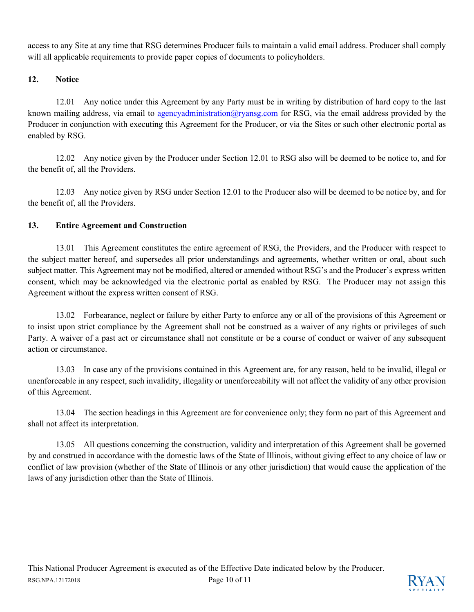access to any Site at any time that RSG determines Producer fails to maintain a valid email address. Producer shall comply will all applicable requirements to provide paper copies of documents to policyholders.

## **12. Notice**

12.01 Any notice under this Agreement by any Party must be in writing by distribution of hard copy to the last known mailing address, via email to [agencyadministration@ryansg.com](mailto:agencyadministration@ryansg.com) for RSG, via the email address provided by the Producer in conjunction with executing this Agreement for the Producer, or via the Sites or such other electronic portal as enabled by RSG.

12.02 Any notice given by the Producer under Section 12.01 to RSG also will be deemed to be notice to, and for the benefit of, all the Providers.

12.03 Any notice given by RSG under Section 12.01 to the Producer also will be deemed to be notice by, and for the benefit of, all the Providers.

## **13. Entire Agreement and Construction**

13.01 This Agreement constitutes the entire agreement of RSG, the Providers, and the Producer with respect to the subject matter hereof, and supersedes all prior understandings and agreements, whether written or oral, about such subject matter. This Agreement may not be modified, altered or amended without RSG's and the Producer's express written consent, which may be acknowledged via the electronic portal as enabled by RSG. The Producer may not assign this Agreement without the express written consent of RSG.

13.02 Forbearance, neglect or failure by either Party to enforce any or all of the provisions of this Agreement or to insist upon strict compliance by the Agreement shall not be construed as a waiver of any rights or privileges of such Party. A waiver of a past act or circumstance shall not constitute or be a course of conduct or waiver of any subsequent action or circumstance.

13.03 In case any of the provisions contained in this Agreement are, for any reason, held to be invalid, illegal or unenforceable in any respect, such invalidity, illegality or unenforceability will not affect the validity of any other provision of this Agreement.

13.04 The section headings in this Agreement are for convenience only; they form no part of this Agreement and shall not affect its interpretation.

13.05 All questions concerning the construction, validity and interpretation of this Agreement shall be governed by and construed in accordance with the domestic laws of the State of Illinois, without giving effect to any choice of law or conflict of law provision (whether of the State of Illinois or any other jurisdiction) that would cause the application of the laws of any jurisdiction other than the State of Illinois.